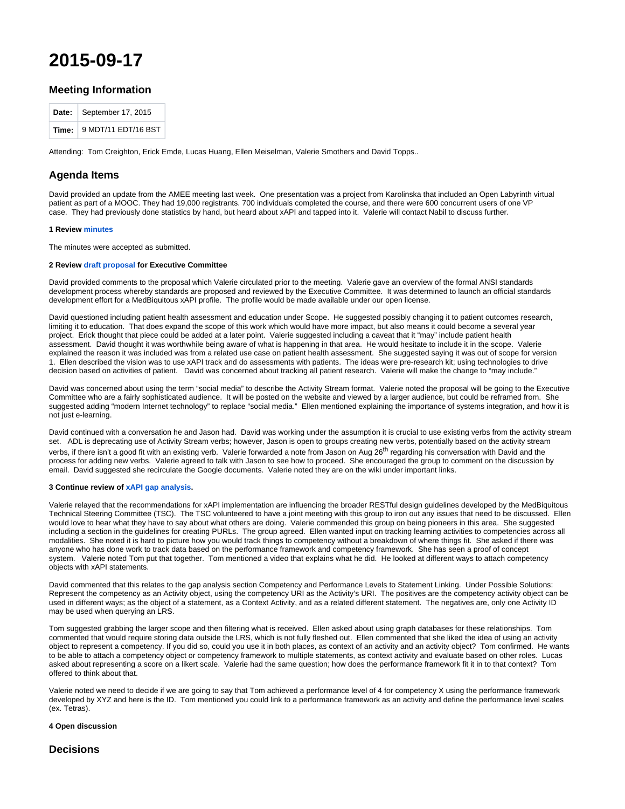# **2015-09-17**

## **Meeting Information**

| Date:   September 17, 2015              |
|-----------------------------------------|
| Time: $\frac{1}{2}$ 9 MDT/11 EDT/16 BST |

Attending: Tom Creighton, Erick Emde, Lucas Huang, Ellen Meiselman, Valerie Smothers and David Topps..

## **Agenda Items**

David provided an update from the AMEE meeting last week. One presentation was a project from Karolinska that included an Open Labyrinth virtual patient as part of a MOOC. They had 19,000 registrants. 700 individuals completed the course, and there were 600 concurrent users of one VP case. They had previously done statistics by hand, but heard about xAPI and tapped into it. Valerie will contact Nabil to discuss further.

#### **1 Review [minutes](http://groups.medbiq.org/medbiq/display/XAPI/2015-08-20)**

The minutes were accepted as submitted.

#### **2 Review [draft proposal f](http://groups.medbiq.org/medbiq/download/attachments/59640347/xapi_proposal_01.docx?version=1&modificationDate=1595270254000&api=v2)or Executive Committee**

David provided comments to the proposal which Valerie circulated prior to the meeting. Valerie gave an overview of the formal ANSI standards development process whereby standards are proposed and reviewed by the Executive Committee. It was determined to launch an official standards development effort for a MedBiquitous xAPI profile. The profile would be made available under our open license.

David questioned including patient health assessment and education under Scope. He suggested possibly changing it to patient outcomes research, limiting it to education. That does expand the scope of this work which would have more impact, but also means it could become a several year project. Erick thought that piece could be added at a later point. Valerie suggested including a caveat that it "may" include patient health assessment. David thought it was worthwhile being aware of what is happening in that area. He would hesitate to include it in the scope. Valerie explained the reason it was included was from a related use case on patient health assessment. She suggested saying it was out of scope for version 1. Ellen described the vision was to use xAPI track and do assessments with patients. The ideas were pre-research kit; using technologies to drive decision based on activities of patient. David was concerned about tracking all patient research. Valerie will make the change to "may include."

David was concerned about using the term "social media" to describe the Activity Stream format. Valerie noted the proposal will be going to the Executive Committee who are a fairly sophisticated audience. It will be posted on the website and viewed by a larger audience, but could be reframed from. She suggested adding "modern Internet technology" to replace "social media." Ellen mentioned explaining the importance of systems integration, and how it is not just e-learning.

David continued with a conversation he and Jason had. David was working under the assumption it is crucial to use existing verbs from the activity stream set. ADL is deprecating use of Activity Stream verbs; however, Jason is open to groups creating new verbs, potentially based on the activity stream verbs, if there isn't a good fit with an existing verb. Valerie forwarded a note from Jason on Aug  $26<sup>th</sup>$  regarding his conversation with David and the process for adding new verbs. Valerie agreed to talk with Jason to see how to proceed. She encouraged the group to comment on the discussion by email. David suggested she recirculate the Google documents. Valerie noted they are on the wiki under important links.

#### **3 Continue review of [xAPI gap analysis](http://groups.medbiq.org/medbiq/download/attachments/59640347/Simulation%20and%20Reporting%20Analysis%20Project%20Gap%20Analysis.docx?version=1&modificationDate=1594847994000&api=v2).**

Valerie relayed that the recommendations for xAPI implementation are influencing the broader RESTful design guidelines developed by the MedBiquitous Technical Steering Committee (TSC). The TSC volunteered to have a joint meeting with this group to iron out any issues that need to be discussed. Ellen would love to hear what they have to say about what others are doing. Valerie commended this group on being pioneers in this area. She suggested including a section in the guidelines for creating PURLs. The group agreed. Ellen wanted input on tracking learning activities to competencies across all modalities. She noted it is hard to picture how you would track things to competency without a breakdown of where things fit. She asked if there was anyone who has done work to track data based on the performance framework and competency framework. She has seen a proof of concept system. Valerie noted Tom put that together. Tom mentioned a video that explains what he did. He looked at different ways to attach competency objects with xAPI statements.

David commented that this relates to the gap analysis section Competency and Performance Levels to Statement Linking. Under Possible Solutions: Represent the competency as an Activity object, using the competency URI as the Activity's URI. The positives are the competency activity object can be used in different ways; as the object of a statement, as a Context Activity, and as a related different statement. The negatives are, only one Activity ID may be used when querying an LRS.

Tom suggested grabbing the larger scope and then filtering what is received. Ellen asked about using graph databases for these relationships. Tom commented that would require storing data outside the LRS, which is not fully fleshed out. Ellen commented that she liked the idea of using an activity object to represent a competency. If you did so, could you use it in both places, as context of an activity and an activity object? Tom confirmed. He wants to be able to attach a competency object or competency framework to multiple statements, as context activity and evaluate based on other roles. Lucas asked about representing a score on a likert scale. Valerie had the same question; how does the performance framework fit it in to that context? Tom offered to think about that.

Valerie noted we need to decide if we are going to say that Tom achieved a performance level of 4 for competency X using the performance framework developed by XYZ and here is the ID. Tom mentioned you could link to a performance framework as an activity and define the performance level scales (ex. Tetras).

#### **4 Open discussion**

### **Decisions**